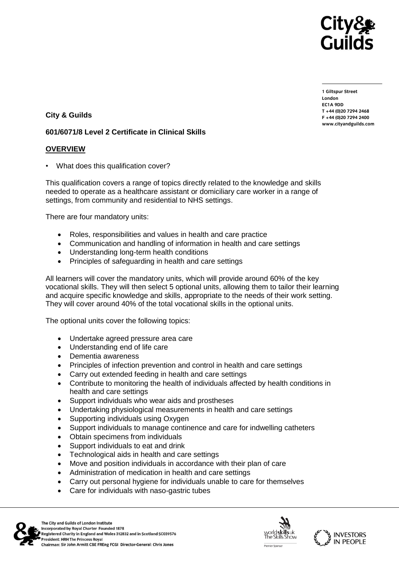

**1 Giltspur Street EC1A ODD** T +44 (0) 20 7294 2468 **T +44 (0)20 7294 2468** www.citvandguilds.com **www.cityandguilds.com**

# **City & Guilds**

### **601/6071/8 Level 2 Certificate in Clinical Skills**

# **OVERVIEW**

• What does this qualification cover?

This qualification covers a range of topics directly related to the knowledge and skills needed to operate as a healthcare assistant or domiciliary care worker in a range of settings, from community and residential to NHS settings.

There are four mandatory units:

- Roles, responsibilities and values in health and care practice
- Communication and handling of information in health and care settings
- Understanding long-term health conditions
- Principles of safeguarding in health and care settings

All learners will cover the mandatory units, which will provide around 60% of the key vocational skills. They will then select 5 optional units, allowing them to tailor their learning and acquire specific knowledge and skills, appropriate to the needs of their work setting. They will cover around 40% of the total vocational skills in the optional units.

The optional units cover the following topics:

- Undertake agreed pressure area care
- Understanding end of life care
- Dementia awareness
- Principles of infection prevention and control in health and care settings
- Carry out extended feeding in health and care settings
- Contribute to monitoring the health of individuals affected by health conditions in health and care settings
- Support individuals who wear aids and prostheses
- Undertaking physiological measurements in health and care settings
- Supporting individuals using Oxygen
- Support individuals to manage continence and care for indwelling catheters
- Obtain specimens from individuals
- Support individuals to eat and drink
- Technological aids in health and care settings
- Move and position individuals in accordance with their plan of care
- Administration of medication in health and care settings
- Carry out personal hygiene for individuals unable to care for themselves
- Care for individuals with naso-gastric tubes